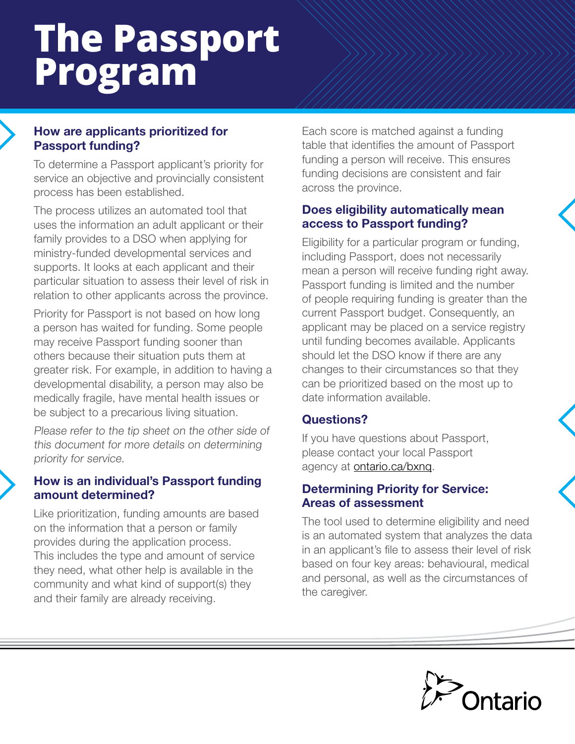# **The Passport Program**

## How are applicants prioritized for Passport funding?

To determine a Passport applicant's priority for service an objective and provincially consistent process has been established.

The process utilizes an automated tool that uses the information an adult applicant or their family provides to a DSO when applying for ministry-funded developmental services and supports. It looks at each applicant and their particular situation to assess their level of risk in relation to other applicants across the province.

Priority for Passport is not based on how long a person has waited for funding. Some people may receive Passport funding sooner than others because their situation puts them at greater risk. For example, in addition to having a developmental disability, a person may also be medically fragile, have mental health issues or be subject to a precarious living situation.

Please refer to the tip sheet on the other side of this document for more details on determining priority for service.

#### How is an individual's Passport funding amount determined?

Like prioritization, funding amounts are based on the information that a person or family provides during the application process. This includes the type and amount of service they need, what other help is available in the community and what kind of support(s) they and their family are already receiving.

Each score is matched against a funding table that identifies the amount of Passport funding a person will receive. This ensures funding decisions are consistent and fair across the province.

### Does eligibility automatically mean access to Passport funding?

Eligibility for a particular program or funding, including Passport, does not necessarily mean a person will receive funding right away. Passport funding is limited and the number of people requiring funding is greater than the current Passport budget. Consequently, an applicant may be placed on a service registry until funding becomes available. Applicants should let the DSO know if there are any changes to their circumstances so that they can be prioritized based on the most up to date information available.

# Questions?

If you have questions about Passport, please contact your local Passport agency at **ontario.ca/bxnq**.

#### Determining Priority for Service: Areas of assessment

The tool used to determine eligibility and need is an automated system that analyzes the data in an applicant's file to assess their level of risk based on four key areas: behavioural, medical and personal, as well as the circumstances of the caregiver.